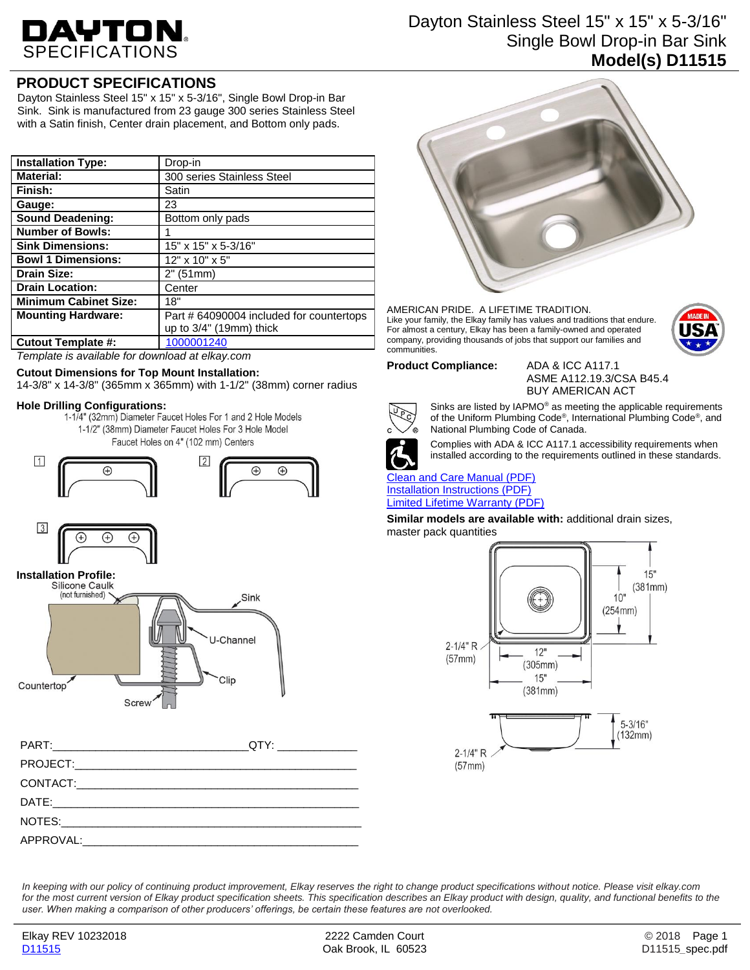# DAYTON.

# Dayton Stainless Steel 15" x 15" x 5-3/16" Single Bowl Drop-in Bar Sink **Model(s) D11515**

# **PRODUCT SPECIFICATIONS**

Dayton Stainless Steel 15" x 15" x 5-3/16", Single Bowl Drop-in Bar Sink. Sink is manufactured from 23 gauge 300 series Stainless Steel with a Satin finish, Center drain placement, and Bottom only pads.

| <b>Installation Type:</b>    | Drop-in                                  |
|------------------------------|------------------------------------------|
| <b>Material:</b>             | 300 series Stainless Steel               |
| Finish:                      | Satin                                    |
| Gauge:                       | 23                                       |
| <b>Sound Deadening:</b>      | Bottom only pads                         |
| <b>Number of Bowls:</b>      |                                          |
| <b>Sink Dimensions:</b>      | 15" x 15" x 5-3/16"                      |
| <b>Bowl 1 Dimensions:</b>    | $12"$ x $10"$ x $5"$                     |
| <b>Drain Size:</b>           | 2" (51mm)                                |
| <b>Drain Location:</b>       | Center                                   |
| <b>Minimum Cabinet Size:</b> | 18"                                      |
| <b>Mounting Hardware:</b>    | Part # 64090004 included for countertops |
|                              | up to $3/4$ " (19mm) thick               |
| <b>Cutout Template #:</b>    | 1000001240                               |

*Template is available for download at elkay.com*

### **Cutout Dimensions for Top Mount Installation:**

14-3/8" x 14-3/8" (365mm x 365mm) with 1-1/2" (38mm) corner radius

**Hole Drilling Configurations:** 1-1/2" (38mm) Diameter Faucet Holes For 3 Hole Model

Faucet Holes on 4" (102 mm) Centers







| PART: QTY: |  |
|------------|--|
|            |  |
|            |  |
|            |  |
|            |  |
|            |  |



AMERICAN PRIDE. A LIFETIME TRADITION. Like your family, the Elkay family has values and traditions that endure. For almost a century, Elkay has been a family-owned and operated company, providing thousands of jobs that support our families and communities.



**Product Compliance:** ADA & ICC A117.1

ASME A112.19.3/CSA B45.4 BUY AMERICAN ACT



Sinks are listed by IAPMO® as meeting the applicable requirements of the Uniform Plumbing Code®, International Plumbing Code®, and National Plumbing Code of Canada.



Complies with ADA & ICC A117.1 accessibility requirements when installed according to the requirements outlined in these standards.

#### [Clean and Care Manual \(PDF\)](http://www.elkay.com/wcsstore/lkdocs/care-cleaning-install-warranty-sheets/residential%20and%20commercial%20care%20%20cleaning.pdf) [Installation Instructions \(PDF\)](http://www.elkay.com/wcsstore/lkdocs/care-cleaning-install-warranty-sheets/64180036.pdf) [Limited Lifetime Warranty](http://www.elkay.com/wcsstore/lkdocs/care-cleaning-install-warranty-sheets/residential%20sinks%20warranty.pdf) (PDF)

**Similar models are available with:** additional drain sizes, master pack quantities



*In keeping with our policy of continuing product improvement, Elkay reserves the right to change product specifications without notice. Please visit elkay.com for the most current version of Elkay product specification sheets. This specification describes an Elkay product with design, quality, and functional benefits to the user. When making a comparison of other producers' offerings, be certain these features are not overlooked.*